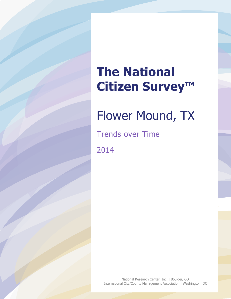# **The National Citizen Survey™**

## Flower Mound, TX

Trends over Time

2014

National Research Center, Inc. | Boulder, CO International City/County Management Association | Washington, DC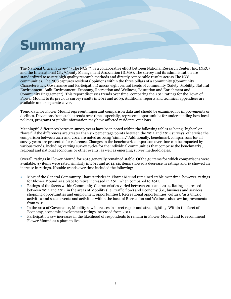# **Summary**

The National Citizen Survey™ (The NCS™) is a collaborative effort between National Research Center, Inc. (NRC) and the International City/County Management Association (ICMA). The survey and its administration are standardized to assure high quality research methods and directly comparable results across The NCS communities. The NCS captures residents' opinions within the three pillars of a community (Community Characteristics, Governance and Participation) across eight central facets of community (Safety, Mobility, Natural Environment, Built Environment, Economy, Recreation and Wellness, Education and Enrichment and Community Engagement). This report discusses trends over time, comparing the 2014 ratings for the Town of Flower Mound to its previous survey results in 2011 and 2009. Additional reports and technical appendices are available under separate cover.

Trend data for Flower Mound represent important comparison data and should be examined for improvements or declines. Deviations from stable trends over time, especially, represent opportunities for understanding how local policies, programs or public information may have affected residents' opinions.

Meaningful differences between survey years have been noted within the following tables as being "higher" or "lower" if the differences are greater than six percentage points between the 2011 and 2014 surveys, otherwise the comparison between 2011 and 2014 are noted as being "similar." Additionally, benchmark comparisons for all survey years are presented for reference. Changes in the benchmark comparison over time can be impacted by various trends, including varying survey cycles for the individual communities that comprise the benchmarks, regional and national economic or other events, as well as emerging survey methodologies.

Overall, ratings in Flower Mound for 2014 generally remained stable. Of the 56 items for which comparisons were available, 37 items were rated similarly in 2011 and 2014, six items showed a decrease in ratings and 13 showed an increase in ratings. Notable trends over time included the following:

- Most of the General Community Characteristics in Flower Mound remained stable over time, however, ratings for Flower Mound as a place to retire increased in 2014 when compared to 2011.
- Ratings of the facets within Community Characteristics varied between 2011 and 2014. Ratings increased between 2011 and 2014 in the areas of Mobility (i.e., traffic flow) and Economy (i.e., business and services, shopping opportunities and employment opportunities). Recreational opportunities, cultural/arts/music activities and social events and activities within the facet of Recreation and Wellness also saw improvements from 2011.
- In the area of Governance, Mobility saw increases in street repair and street lighting. Within the facet of Economy, economic development ratings increased from 2011.
- Participation saw increases in the likelihood of respondents to remain in Flower Mound and to recommend Flower Mound as a place to live.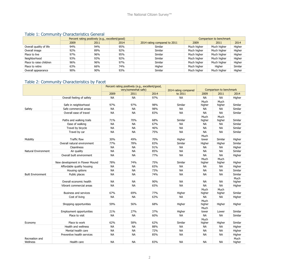#### Table 1: Community Characteristics General

|                         | Percent rating positively (e.g., excellent/good) |      |      |                              | Comparison to benchmark |             |         |  |
|-------------------------|--------------------------------------------------|------|------|------------------------------|-------------------------|-------------|---------|--|
|                         | 2009                                             | 2011 | 2014 | 2014 rating compared to 2011 | 2009                    | 2011        | 2014    |  |
| Overall quality of life | 94%                                              | 94%  | 95%  | Similar                      | Much higher             | Much higher | Higher  |  |
| Overall image           | 92%                                              | 89%  | 92%  | Similar                      | Much higher             | Much higher | Higher  |  |
| Place to live           | 97%                                              | 96%  | 95%  | Similar                      | Much higher             | Much higher | Higher  |  |
| Neighborhood            | 93%                                              | 93%  | 92%  | Similar                      | Much higher             | Much higher | Higher  |  |
| Place to raise children | 96%                                              | 96%  | 97%  | Similar                      | Much higher             | Much higher | Higher  |  |
| Place to retire         | 63%                                              | 66%  | 74%  | Higher                       | Much higher             | Higher      | Similar |  |
| Overall appearance      | 90%                                              | 90%  | 93%  | <b>Similar</b>               | Much higher             | Much higher | Higher  |  |

## Table 2: Community Characteristics by Facet

|                            |                                 |           | Percent rating positively (e.g., excellent/good, |      |                      | Comparison to benchmark |                |                |
|----------------------------|---------------------------------|-----------|--------------------------------------------------|------|----------------------|-------------------------|----------------|----------------|
|                            |                                 |           | very/somewhat safe)                              |      | 2014 rating compared |                         |                |                |
|                            |                                 | 2009      | 2011                                             | 2014 | to 2011              | 2009                    | 2011           | 2014           |
|                            | Overall feeling of safety       | <b>NA</b> | <b>NA</b>                                        | 97%  | <b>NA</b>            | <b>NA</b>               | <b>NA</b>      | Higher         |
|                            | Safe in neighborhood            | 97%       | 97%                                              | 98%  | Similar              | Much<br>higher          | Much<br>higher | Similar        |
| Safety                     | Safe commercial areas           | <b>NA</b> | <b>NA</b>                                        | 98%  | <b>NA</b>            | NA                      | <b>NA</b>      | Similar        |
|                            | Overall ease of travel          | <b>NA</b> | <b>NA</b>                                        | 83%  | <b>NA</b>            | <b>NA</b>               | <b>NA</b>      | Similar        |
|                            | Paths and walking trails        | 71%       | 70%                                              | 68%  | Similar              | Much<br>higher          | Much<br>higher | Similar        |
|                            | Ease of walking                 | <b>NA</b> | <b>NA</b>                                        | 67%  | <b>NA</b>            | <b>NA</b>               | <b>NA</b>      | Similar        |
|                            | Travel by bicycle               | <b>NA</b> | <b>NA</b>                                        | 46%  | <b>NA</b>            | <b>NA</b>               | <b>NA</b>      | Similar        |
|                            | Travel by car                   | NА        | <b>NA</b>                                        | 75%  | <b>NA</b>            | <b>NA</b>               | <b>NA</b>      | Similar        |
|                            |                                 |           |                                                  |      |                      | Much                    |                |                |
| Mobility                   | Traffic flow                    | 30%       | 49%                                              | 70%  | Higher               | lower                   | Similar        | Higher         |
|                            | Overall natural environment     | 77%       | 78%                                              | 83%  | Similar              | Higher                  | Higher         | Similar        |
|                            | Cleanliness                     | <b>NA</b> | <b>NA</b>                                        | 91%  | <b>NA</b>            | NA                      | NА             | Higher         |
| <b>Natural Environment</b> | Air quality                     | <b>NA</b> | <b>NA</b>                                        | 85%  | <b>NA</b>            | <b>NA</b>               | <b>NA</b>      | Similar        |
|                            | Overall built environment       | <b>NA</b> | <b>NA</b>                                        | 77%  | <b>NA</b>            | <b>NA</b>               | <b>NA</b>      | Higher         |
|                            |                                 |           |                                                  |      |                      | Much                    | Much           |                |
|                            | New development in Flower Mound | 78%       | 74%                                              | 75%  | Similar              | higher                  | higher         | Higher         |
|                            | Affordable quality housing      | <b>NA</b> | <b>NA</b>                                        | 65%  | <b>NA</b>            | <b>NA</b>               | <b>NA</b>      | Higher         |
|                            | Housing options                 | NA        | <b>NA</b>                                        | 73%  | <b>NA</b>            | <b>NA</b>               | <b>NA</b>      | Similar        |
| <b>Built Environment</b>   | Public places                   | <b>NA</b> | <b>NA</b>                                        | 74%  | <b>NA</b>            | <b>NA</b>               | <b>NA</b>      | Similar        |
|                            | Overall economic health         | NА        | <b>NA</b>                                        | 90%  | NA                   | NA                      | NА             | Much<br>higher |
|                            | Vibrant commercial areas        | <b>NA</b> | <b>NA</b>                                        | 65%  | <b>NA</b>            | <b>NA</b>               | <b>NA</b>      | Higher         |
|                            |                                 |           |                                                  |      |                      | Much                    | Much           |                |
|                            | <b>Business and services</b>    | 67%       | 69%                                              | 77%  | Higher               | higher                  | higher         | Similar        |
|                            | Cost of living                  | <b>NA</b> | <b>NA</b>                                        | 63%  | <b>NA</b>            | <b>NA</b>               | <b>NA</b>      | Higher         |
|                            | Shopping opportunities          | 59%       | 56%                                              | 68%  | Higher               | Much<br>higher          | Higher         | Higher         |
|                            | Employment opportunities        | 21%       | 27%                                              | 37%  | Higher               | Much<br>lower           | Lower          | Similar        |
|                            | Place to visit                  | <b>NA</b> | <b>NA</b>                                        | 60%  | <b>NA</b>            | <b>NA</b>               | <b>NA</b>      | Similar        |
| Economy                    | Place to work                   | 62%       | 58%                                              | 62%  | Similar              | Much<br>higher          | Higher         | Similar        |
|                            | Health and wellness             | <b>NA</b> | <b>NA</b>                                        | 88%  | <b>NA</b>            | <b>NA</b>               | <b>NA</b>      | Higher         |
|                            | Mental health care              | <b>NA</b> | <b>NA</b>                                        | 72%  | <b>NA</b>            | <b>NA</b>               | <b>NA</b>      | Higher         |
|                            | Preventive health services      | <b>NA</b> | <b>NA</b>                                        | 85%  | <b>NA</b>            | <b>NA</b>               | <b>NA</b>      | Higher         |
| Recreation and<br>Wellness | Health care                     | <b>NA</b> | <b>NA</b>                                        | 83%  | <b>NA</b>            | <b>NA</b>               | <b>NA</b>      | Much<br>higher |
|                            |                                 |           |                                                  |      |                      |                         |                |                |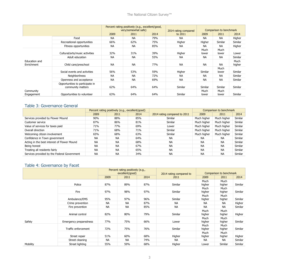|                             |                                                      | Percent rating positively (e.g., excellent/good,<br>very/somewhat safe) |           |      | 2014 rating compared | Comparison to benchmark |               |                |
|-----------------------------|------------------------------------------------------|-------------------------------------------------------------------------|-----------|------|----------------------|-------------------------|---------------|----------------|
|                             |                                                      | 2009                                                                    | 2011      | 2014 | to 2011              | 2009                    | 2011          | 2014           |
|                             | Food                                                 | NA.                                                                     | NА        | 79%  | NA.                  | <b>NA</b>               | <b>NA</b>     | Higher         |
|                             | Recreational opportunities                           | 66%                                                                     | 62%       | 75%  | Higher               | Higher                  | Similar       | Similar        |
|                             | Fitness opportunities                                | <b>NA</b>                                                               | <b>NA</b> | 85%  | NA.                  | <b>NA</b>               | <b>NA</b>     | Higher         |
|                             | Cultural/arts/music activities                       | 32%                                                                     | 31%       | 39%  | Higher               | Much<br>lower           | Much<br>lower | Lower          |
|                             | Adult education                                      | <b>NA</b>                                                               | <b>NA</b> | 55%  | <b>NA</b>            | <b>NA</b>               | <b>NA</b>     | Similar        |
| Education and<br>Enrichment | Child care/preschool                                 | <b>NA</b>                                                               | <b>NA</b> | 77%  | <b>NA</b>            | <b>NA</b>               | <b>NA</b>     | Much<br>higher |
|                             | Social events and activities                         | 56%                                                                     | 53%       | 59%  | Higher               | Similar                 | Much<br>lower | Similar        |
|                             | <b>Neighborliness</b>                                | <b>NA</b>                                                               | <b>NA</b> | 72%  | <b>NA</b>            | <b>NA</b>               | <b>NA</b>     | Similar        |
|                             | Openness and acceptance                              | <b>NA</b>                                                               | <b>NA</b> | 69%  | <b>NA</b>            | <b>NA</b>               | <b>NA</b>     | Similar        |
|                             | Opportunities to participate in<br>community matters | 62%                                                                     | 64%       | 64%  | Similar              | Similar                 | Similar       | Similar        |
| Community<br>Engagement     | Opportunities to volunteer                           | 63%                                                                     | 64%       | 64%  | Similar              | Much<br>lower           | Much<br>lower | Similar        |

#### Table 3: Governance General

|                                             | Percent rating positively (e.g., excellent/good) |           |      |                              | Comparison to benchmark |             |         |
|---------------------------------------------|--------------------------------------------------|-----------|------|------------------------------|-------------------------|-------------|---------|
|                                             | 2009                                             | 2011      | 2014 | 2014 rating compared to 2011 | 2009                    | 2011        | 2014    |
| Services provided by Flower Mound           | 90%                                              | 88%       | 85%  | Similar                      | Much higher             | Much higher | Similar |
| Customer service                            | 87%                                              | 86%       | 81%  | <b>Similar</b>               | Much higher             | Much higher | Similar |
| Value of services for taxes paid            | 71%                                              | 77%       | 69%  | Lower                        | Much higher             | Much higher | Similar |
| Overall direction                           | 71%                                              | 68%       | 71%  | <b>Similar</b>               | Much higher             | Much higher | Similar |
| Welcoming citizen involvement               | 65%                                              | 68%       | 63%  | <b>Similar</b>               | Much higher             | Much higher | Similar |
| Confidence in Town government               | <b>NA</b>                                        | <b>NA</b> | 64%  | <b>NA</b>                    | <b>NA</b>               | <b>NA</b>   | Similar |
| Acting in the best interest of Flower Mound | <b>NA</b>                                        | <b>NA</b> | 68%  | <b>NA</b>                    | <b>NA</b>               | <b>NA</b>   | Similar |
| Being honest                                | <b>NA</b>                                        | <b>NA</b> | 67%  | <b>NA</b>                    | <b>NA</b>               | <b>NA</b>   | Similar |
| Treating all residents fairly               | <b>NA</b>                                        | <b>NA</b> | 65%  | <b>NA</b>                    | <b>NA</b>               | <b>NA</b>   | Similar |
| Services provided by the Federal Government | <b>NA</b>                                        | <b>NA</b> | 34%  | <b>NA</b>                    | <b>NA</b>               | <b>NA</b>   | Similar |

## Table 4: Governance by Facet

|          |                        | Percent rating positively (e.g.,<br>excellent/good) |           | 2014 rating compared to | Comparison to benchmark |                |                |         |
|----------|------------------------|-----------------------------------------------------|-----------|-------------------------|-------------------------|----------------|----------------|---------|
|          |                        | 2009<br>2011                                        |           | 2014                    | 2011                    | 2009           | 2011           | 2014    |
|          | Police                 | 87%                                                 | 89%       | 87%                     | Similar                 | Much<br>higher | Much<br>higher | Similar |
|          | Fire                   | 97%                                                 | 98%       | 97%                     | Similar                 | Much<br>higher | Much<br>higher | Similar |
|          | Ambulance/EMS          | 95%                                                 | 97%       | 96%                     | Similar                 | Much<br>higher | Much<br>higher | Similar |
|          | Crime prevention       | NА                                                  | <b>NA</b> | 87%                     | <b>NA</b>               | <b>NA</b>      | <b>NA</b>      | Higher  |
|          | Fire prevention        | <b>NA</b>                                           | <b>NA</b> | 85%                     | <b>NA</b>               | <b>NA</b>      | <b>NA</b>      | Similar |
|          | Animal control         | 82%                                                 | 80%       | 79%                     | Similar                 | Much<br>higher | Much<br>higher | Higher  |
| Safety   | Emergency preparedness | 77%                                                 | 75%       | 66%                     | Lower                   | Much<br>higher | Much<br>higher | Similar |
|          | Traffic enforcement    | 72%                                                 | 75%       | 76%                     | Similar                 | Much<br>higher | Much<br>higher | Similar |
|          | Street repair          | 51%                                                 | 60%       | 68%                     | Higher                  | Much<br>higher | Much<br>higher | Higher  |
|          | Street cleaning        | NА                                                  | <b>NA</b> | 74%                     | <b>NA</b>               | NA             | <b>NA</b>      | Similar |
| Mobility | Street lighting        | 55%                                                 | 59%       | 68%                     | Higher                  | Lower          | Similar        | Similar |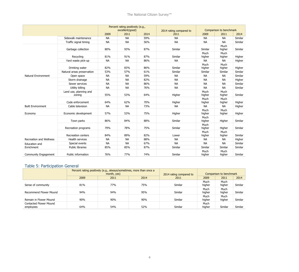|                                |                                  | Percent rating positively (e.g.,<br>excellent/good) |           | 2014 rating compared to | Comparison to benchmark |                |                |         |
|--------------------------------|----------------------------------|-----------------------------------------------------|-----------|-------------------------|-------------------------|----------------|----------------|---------|
|                                |                                  | 2009                                                | 2011      | 2014                    | 2011                    | 2009           | 2011           | 2014    |
|                                | Sidewalk maintenance             | <b>NA</b>                                           | <b>NA</b> | 59%                     | <b>NA</b>               | <b>NA</b>      | <b>NA</b>      | Similar |
|                                | Traffic signal timing            | <b>NA</b>                                           | <b>NA</b> | 56%                     | <b>NA</b>               | <b>NA</b>      | <b>NA</b>      | Similar |
|                                | Garbage collection               | 80%                                                 | 93%       | 87%                     | Similar                 | Similar        | Much<br>higher | Similar |
|                                | Recycling                        | 81%                                                 | 91%       | 87%                     | Similar                 | Much<br>higher | Much<br>higher | Higher  |
|                                | Yard waste pick-up               | <b>NA</b>                                           | <b>NA</b> | 86%                     | <b>NA</b>               | <b>NA</b>      | <b>NA</b>      | Higher  |
|                                | Drinking water                   | 82%                                                 | 83%       | 86%                     | Similar                 | Much<br>higher | Much<br>higher | Higher  |
|                                | Natural areas preservation       | 53%                                                 | 57%       | 61%                     | Similar                 | Similar        | Similar        | Similar |
| <b>Natural Environment</b>     | Open space                       | <b>NA</b>                                           | <b>NA</b> | 59%                     | <b>NA</b>               | <b>NA</b>      | <b>NA</b>      | Similar |
|                                | Storm drainage                   | <b>NA</b>                                           | <b>NA</b> | 82%                     | <b>NA</b>               | <b>NA</b>      | <b>NA</b>      | Higher  |
|                                | Sewer services                   | <b>NA</b>                                           | <b>NA</b> | 86%                     | <b>NA</b>               | <b>NA</b>      | <b>NA</b>      | Similar |
|                                | Utility billing                  | <b>NA</b>                                           | <b>NA</b> | 76%                     | <b>NA</b>               | <b>NA</b>      | <b>NA</b>      | Similar |
|                                | Land use, planning and<br>zoning | 55%                                                 | 53%       | 64%                     | Higher                  | Much<br>higher | Much<br>higher | Similar |
|                                | Code enforcement                 | 64%                                                 | 62%       | 70%                     | Higher                  | Much<br>higher | Much<br>higher | Higher  |
| <b>Built Environment</b>       | Cable television                 | <b>NA</b>                                           | <b>NA</b> | 73%                     | <b>NA</b>               | <b>NA</b>      | <b>NA</b>      | Higher  |
| Economy                        | Economic development             | 57%                                                 | 53%       | 75%                     | Higher                  | Much<br>higher | Much<br>higher | Higher  |
|                                | Town parks                       | 86%                                                 | 84%       | 88%                     | Similar                 | Much<br>higher | Higher         | Similar |
|                                | Recreation programs              | 79%                                                 | 78%       | 75%                     | Similar                 | Much<br>higher | Higher         | Similar |
|                                | Recreation centers               | 84%                                                 | 89%       | 82%                     | Lower                   | Much<br>higher | Much<br>higher | Similar |
| <b>Recreation and Wellness</b> | <b>Health services</b>           | <b>NA</b>                                           | <b>NA</b> | 88%                     | <b>NA</b>               | <b>NA</b>      | <b>NA</b>      | Higher  |
| Education and                  | Special events                   | <b>NA</b>                                           | <b>NA</b> | 67%                     | <b>NA</b>               | <b>NA</b>      | <b>NA</b>      | Similar |
| Enrichment                     | <b>Public libraries</b>          | 85%                                                 | 85%       | 87%                     | Similar                 | Similar        | Similar        | Similar |
| Community Engagement           | Public information               | 76%                                                 | 77%       | 74%                     | Similar                 | Much<br>higher | Much<br>higher | Similar |

#### Table 5: Participation General

|                                     |      | Percent rating positively (e.g., always/sometimes, more than once a<br>month, yes) | 2014 rating compared to | Comparison to benchmark |                |                |         |
|-------------------------------------|------|------------------------------------------------------------------------------------|-------------------------|-------------------------|----------------|----------------|---------|
|                                     | 2009 | 2011                                                                               | 2014                    | 2011                    | 2009           | 2011           | 2014    |
| Sense of community                  | 81%  | 77%                                                                                | 75%                     | Similar                 | Much<br>higher | Much<br>higher | Similar |
| Recommend Flower Mound              | 94%  | 94%                                                                                | 95%                     | Similar                 | Much<br>higher | Much<br>higher | Similar |
| Remain in Flower Mound              | 90%  | 90%                                                                                | 90%                     | Similar                 | Much<br>higher | Much<br>higher | Similar |
| Contacted Flower Mound<br>employees | 64%  | 54%                                                                                | 52%                     | Similar                 | Much<br>higher | Similar        | Similar |